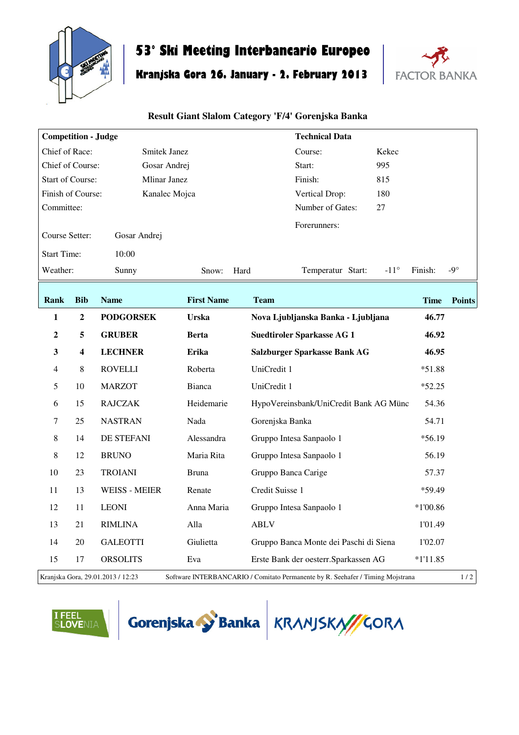

## **53° Ski Meeting Interbancario Europeo**

## **Kranjska Gora 26. January - 2. February 2013**



## **Result Giant Slalom Category 'F/4' Gorenjska Banka**

| <b>Competition - Judge</b>                                                                                                 |                |                      |                   | <b>Technical Data</b>                  |             |               |  |  |
|----------------------------------------------------------------------------------------------------------------------------|----------------|----------------------|-------------------|----------------------------------------|-------------|---------------|--|--|
| Chief of Race:<br>Smitek Janez                                                                                             |                |                      | Course:<br>Kekec  |                                        |             |               |  |  |
| Chief of Course:<br>Gosar Andrej                                                                                           |                |                      | 995<br>Start:     |                                        |             |               |  |  |
| <b>Start of Course:</b><br><b>Mlinar Janez</b>                                                                             |                |                      |                   | Finish:<br>815                         |             |               |  |  |
| Finish of Course:<br>Kanalec Mojca                                                                                         |                |                      |                   | 180<br>Vertical Drop:                  |             |               |  |  |
| Committee:                                                                                                                 |                |                      |                   | Number of Gates:<br>27                 |             |               |  |  |
| Course Setter:                                                                                                             |                | Gosar Andrej         |                   | Forerunners:                           |             |               |  |  |
| <b>Start Time:</b>                                                                                                         |                | 10:00                |                   |                                        |             |               |  |  |
| Weather:                                                                                                                   |                | Sunny                | Hard<br>Snow:     | Temperatur Start:<br>$-11^{\circ}$     | Finish:     | -9 $^{\circ}$ |  |  |
| Rank                                                                                                                       | <b>Bib</b>     | <b>Name</b>          | <b>First Name</b> | <b>Team</b>                            | <b>Time</b> | <b>Points</b> |  |  |
| 1                                                                                                                          | $\overline{2}$ | <b>PODGORSEK</b>     | Urska             | Nova Ljubljanska Banka - Ljubljana     | 46.77       |               |  |  |
| $\mathbf{2}$                                                                                                               | 5              | <b>GRUBER</b>        | <b>Berta</b>      | <b>Suedtiroler Sparkasse AG 1</b>      | 46.92       |               |  |  |
| $\overline{\mathbf{3}}$                                                                                                    | 4              | <b>LECHNER</b>       | Erika             | Salzburger Sparkasse Bank AG           | 46.95       |               |  |  |
| 4                                                                                                                          | 8              | <b>ROVELLI</b>       | Roberta           | UniCredit 1                            | $*51.88$    |               |  |  |
| 5                                                                                                                          | 10             | <b>MARZOT</b>        | Bianca            | UniCredit 1                            | $*52.25$    |               |  |  |
| 6                                                                                                                          | 15             | <b>RAJCZAK</b>       | Heidemarie        | HypoVereinsbank/UniCredit Bank AG Münc | 54.36       |               |  |  |
| $\tau$                                                                                                                     | 25             | <b>NASTRAN</b>       | Nada              | Gorenjska Banka                        | 54.71       |               |  |  |
| 8                                                                                                                          | 14             | DE STEFANI           | Alessandra        | Gruppo Intesa Sanpaolo 1               | $*56.19$    |               |  |  |
| 8                                                                                                                          | 12             | <b>BRUNO</b>         | Maria Rita        | Gruppo Intesa Sanpaolo 1               | 56.19       |               |  |  |
| 10                                                                                                                         | 23             | <b>TROIANI</b>       | <b>Bruna</b>      | Gruppo Banca Carige                    | 57.37       |               |  |  |
| 11                                                                                                                         | 13             | <b>WEISS - MEIER</b> | Renate            | Credit Suisse 1                        | *59.49      |               |  |  |
| 12                                                                                                                         | 11             | <b>LEONI</b>         | Anna Maria        | Gruppo Intesa Sanpaolo 1               | $*1'00.86$  |               |  |  |
| 13                                                                                                                         | 21             | <b>RIMLINA</b>       | Alla              | <b>ABLV</b>                            | 1'01.49     |               |  |  |
| 14                                                                                                                         | 20             | <b>GALEOTTI</b>      | Giulietta         | Gruppo Banca Monte dei Paschi di Siena | 1'02.07     |               |  |  |
| 15                                                                                                                         | 17             | <b>ORSOLITS</b>      | Eva               | Erste Bank der oesterr. Sparkassen AG  | $*1'11.85$  |               |  |  |
| 1/2<br>Kranjska Gora, 29.01.2013 / 12:23<br>Software INTERBANCARIO / Comitato Permanente by R. Seehafer / Timing Mojstrana |                |                      |                   |                                        |             |               |  |  |